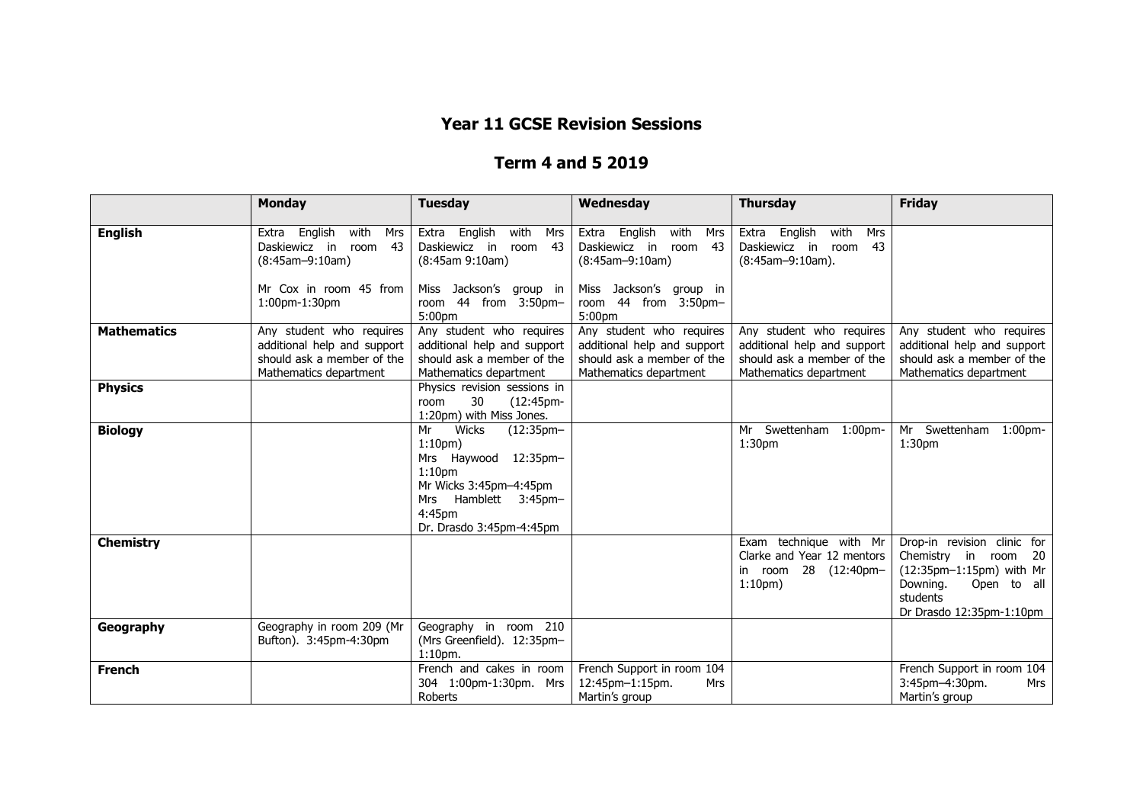## **Year 11 GCSE Revision Sessions**

## **Term 4 and 5 2019**

|                    | <b>Monday</b>                                                                                                   | <b>Tuesday</b>                                                                                                                                                                            | Wednesday                                                                                                       | <b>Thursday</b>                                                                                                 | <b>Friday</b>                                                                                                                                      |
|--------------------|-----------------------------------------------------------------------------------------------------------------|-------------------------------------------------------------------------------------------------------------------------------------------------------------------------------------------|-----------------------------------------------------------------------------------------------------------------|-----------------------------------------------------------------------------------------------------------------|----------------------------------------------------------------------------------------------------------------------------------------------------|
| <b>English</b>     | Extra English<br>with<br>Mrs<br>Daskiewicz in room<br>43<br>$(8:45am-9:10am)$                                   | Extra English<br>with<br>Mrs<br>Daskiewicz in<br>43<br>room<br>(8:45am 9:10am)                                                                                                            | Extra English<br>with<br>Mrs<br>Daskiewicz in room 43<br>$(8:45am-9:10am)$                                      | English<br>with<br>Mrs<br>Extra<br>Daskiewicz in room<br>43<br>(8:45am-9:10am).                                 |                                                                                                                                                    |
|                    | Mr Cox in room 45 from<br>1:00pm-1:30pm                                                                         | Miss Jackson's group in<br>room 44 from 3:50pm-<br>5:00pm                                                                                                                                 | Miss Jackson's group in<br>room 44 from 3:50pm-<br>5:00 <sub>pm</sub>                                           |                                                                                                                 |                                                                                                                                                    |
| <b>Mathematics</b> | Any student who requires<br>additional help and support<br>should ask a member of the<br>Mathematics department | Any student who requires<br>additional help and support<br>should ask a member of the<br>Mathematics department                                                                           | Any student who requires<br>additional help and support<br>should ask a member of the<br>Mathematics department | Any student who requires<br>additional help and support<br>should ask a member of the<br>Mathematics department | Any student who requires<br>additional help and support<br>should ask a member of the<br>Mathematics department                                    |
| <b>Physics</b>     |                                                                                                                 | Physics revision sessions in<br>30<br>(12:45 <sub>pm</sub> )<br>room<br>1:20pm) with Miss Jones.                                                                                          |                                                                                                                 |                                                                                                                 |                                                                                                                                                    |
| <b>Biology</b>     |                                                                                                                 | Mr<br>Wicks<br>$(12:35pm-$<br>1:10 <sub>pm</sub><br>12:35pm-<br>Mrs Haywood<br>1:10 <sub>pm</sub><br>Mr Wicks 3:45pm-4:45pm<br>Mrs Hamblett 3:45pm-<br>4:45pm<br>Dr. Drasdo 3:45pm-4:45pm |                                                                                                                 | Mr Swettenham 1:00pm-<br>1:30 <sub>pm</sub>                                                                     | Mr Swettenham 1:00pm-<br>1:30 <sub>pm</sub>                                                                                                        |
| <b>Chemistry</b>   |                                                                                                                 |                                                                                                                                                                                           |                                                                                                                 | Exam technique with Mr<br>Clarke and Year 12 mentors<br>in room 28 (12:40pm-<br>1:10 <sub>pm</sub>              | Drop-in revision clinic for<br>Chemistry in room 20<br>(12:35pm-1:15pm) with Mr<br>Downing.<br>Open to all<br>students<br>Dr Drasdo 12:35pm-1:10pm |
| Geography          | Geography in room 209 (Mr<br>Bufton). 3:45pm-4:30pm                                                             | Geography in room 210<br>(Mrs Greenfield). 12:35pm-<br>$1:10pm$ .                                                                                                                         |                                                                                                                 |                                                                                                                 |                                                                                                                                                    |
| <b>French</b>      |                                                                                                                 | French and cakes in room<br>304 1:00pm-1:30pm. Mrs<br>Roberts                                                                                                                             | French Support in room 104<br>12:45pm-1:15pm.<br>Mrs<br>Martin's group                                          |                                                                                                                 | French Support in room 104<br>3:45pm-4:30pm.<br>Mrs<br>Martin's group                                                                              |